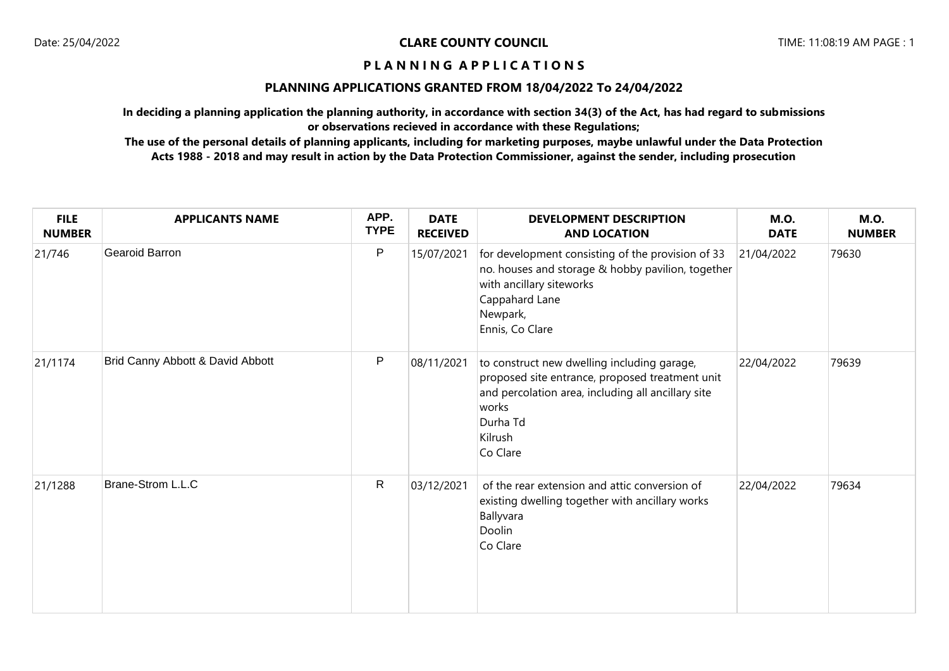# **PLANNING APPLICATIONS GRANTED FROM 18/04/2022 To 24/04/2022**

**In deciding a planning application the planning authority, in accordance with section 34(3) of the Act, has had regard to submissions or observations recieved in accordance with these Regulations;**

**The use of the personal details of planning applicants, including for marketing purposes, maybe unlawful under the Data Protection Acts 1988 - 2018 and may result in action by the Data Protection Commissioner, against the sender, including prosecution**

| <b>FILE</b><br><b>NUMBER</b> | <b>APPLICANTS NAME</b>           | APP.<br><b>TYPE</b> | <b>DATE</b><br><b>RECEIVED</b> | <b>DEVELOPMENT DESCRIPTION</b><br><b>AND LOCATION</b>                                                                                                                                            | <b>M.O.</b><br><b>DATE</b> | <b>M.O.</b><br><b>NUMBER</b> |
|------------------------------|----------------------------------|---------------------|--------------------------------|--------------------------------------------------------------------------------------------------------------------------------------------------------------------------------------------------|----------------------------|------------------------------|
| 21/746                       | Gearoid Barron                   | $\mathsf{P}$        | 15/07/2021                     | for development consisting of the provision of 33<br>no. houses and storage & hobby pavilion, together<br>with ancillary siteworks<br>Cappahard Lane<br>Newpark,<br>Ennis, Co Clare              | 21/04/2022                 | 79630                        |
| 21/1174                      | Brid Canny Abbott & David Abbott | $\mathsf{P}$        | 08/11/2021                     | to construct new dwelling including garage,<br>proposed site entrance, proposed treatment unit<br>and percolation area, including all ancillary site<br>works<br>Durha Td<br>Kilrush<br>Co Clare | 22/04/2022                 | 79639                        |
| 21/1288                      | Brane-Strom L.L.C                | $\mathsf{R}$        | 03/12/2021                     | of the rear extension and attic conversion of<br>existing dwelling together with ancillary works<br>Ballyvara<br>Doolin<br>Co Clare                                                              | 22/04/2022                 | 79634                        |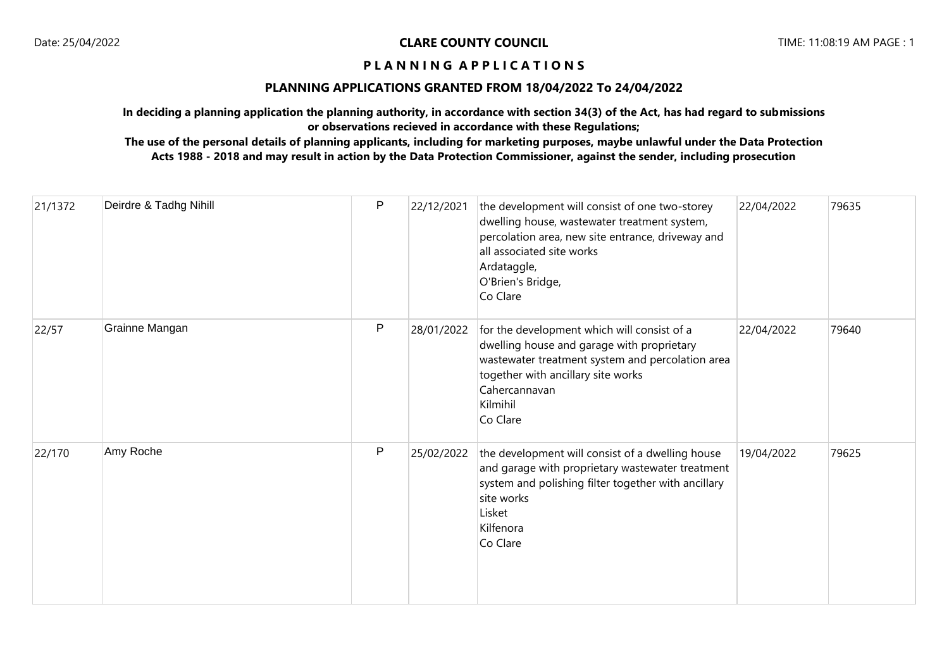# **PLANNING APPLICATIONS GRANTED FROM 18/04/2022 To 24/04/2022**

**In deciding a planning application the planning authority, in accordance with section 34(3) of the Act, has had regard to submissions or observations recieved in accordance with these Regulations;**

**The use of the personal details of planning applicants, including for marketing purposes, maybe unlawful under the Data Protection Acts 1988 - 2018 and may result in action by the Data Protection Commissioner, against the sender, including prosecution**

| 21/1372 | Deirdre & Tadhg Nihill | P | 22/12/2021 | the development will consist of one two-storey<br>dwelling house, wastewater treatment system,<br>percolation area, new site entrance, driveway and<br>all associated site works<br>Ardataggle,<br>O'Brien's Bridge,<br>Co Clare | 22/04/2022 | 79635 |
|---------|------------------------|---|------------|----------------------------------------------------------------------------------------------------------------------------------------------------------------------------------------------------------------------------------|------------|-------|
| 22/57   | Grainne Mangan         | P | 28/01/2022 | for the development which will consist of a<br>dwelling house and garage with proprietary<br>wastewater treatment system and percolation area<br>together with ancillary site works<br>Cahercannavan<br>Kilmihil<br>Co Clare     | 22/04/2022 | 79640 |
| 22/170  | Amy Roche              | P | 25/02/2022 | the development will consist of a dwelling house<br>and garage with proprietary wastewater treatment<br>system and polishing filter together with ancillary<br>site works<br>Lisket<br>Kilfenora<br>Co Clare                     | 19/04/2022 | 79625 |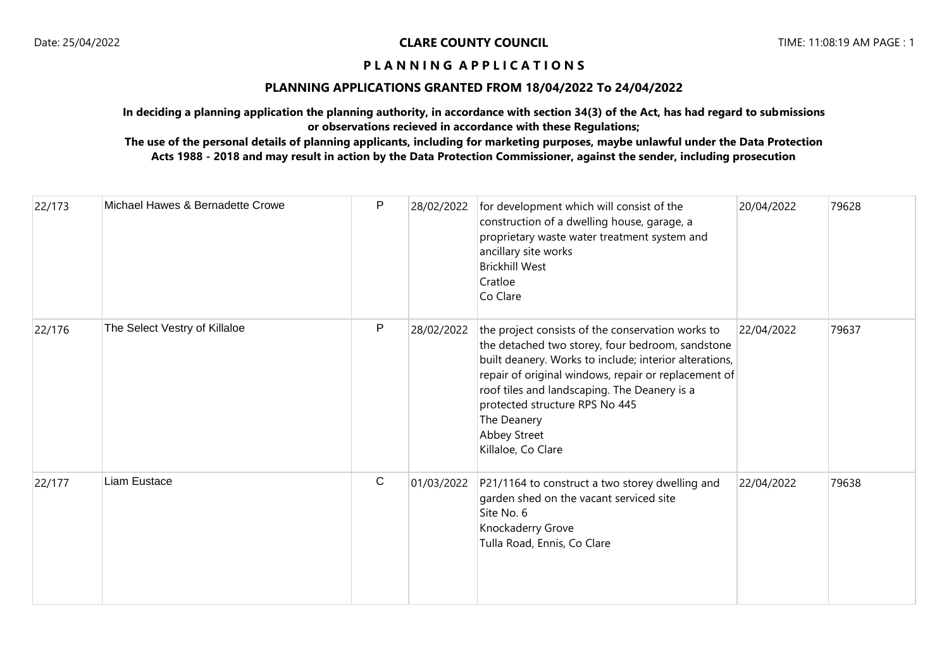# **PLANNING APPLICATIONS GRANTED FROM 18/04/2022 To 24/04/2022**

**In deciding a planning application the planning authority, in accordance with section 34(3) of the Act, has had regard to submissions or observations recieved in accordance with these Regulations;**

**The use of the personal details of planning applicants, including for marketing purposes, maybe unlawful under the Data Protection Acts 1988 - 2018 and may result in action by the Data Protection Commissioner, against the sender, including prosecution**

| 22/173 | Michael Hawes & Bernadette Crowe | P           | 28/02/2022 | for development which will consist of the<br>construction of a dwelling house, garage, a<br>proprietary waste water treatment system and<br>ancillary site works<br><b>Brickhill West</b><br>Cratloe<br>Co Clare                                                                                                                                               | 20/04/2022 | 79628 |
|--------|----------------------------------|-------------|------------|----------------------------------------------------------------------------------------------------------------------------------------------------------------------------------------------------------------------------------------------------------------------------------------------------------------------------------------------------------------|------------|-------|
| 22/176 | The Select Vestry of Killaloe    | P           | 28/02/2022 | the project consists of the conservation works to<br>the detached two storey, four bedroom, sandstone<br>built deanery. Works to include; interior alterations,<br>repair of original windows, repair or replacement of<br>roof tiles and landscaping. The Deanery is a<br>protected structure RPS No 445<br>The Deanery<br>Abbey Street<br>Killaloe, Co Clare | 22/04/2022 | 79637 |
| 22/177 | Liam Eustace                     | $\mathsf C$ | 01/03/2022 | P21/1164 to construct a two storey dwelling and<br>garden shed on the vacant serviced site<br>Site No. 6<br>Knockaderry Grove<br>Tulla Road, Ennis, Co Clare                                                                                                                                                                                                   | 22/04/2022 | 79638 |